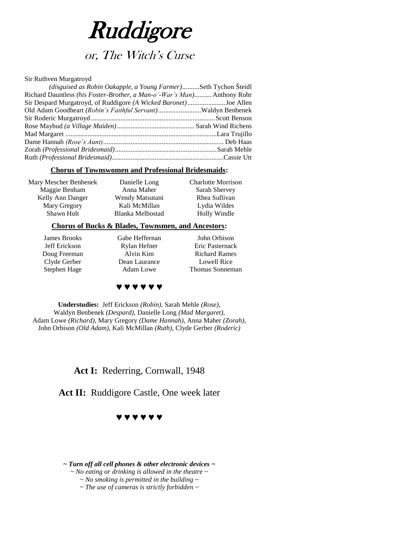

# or, The Witch's Curse

#### Sir Ruthven Murgatroyd

| (disguised as Robin Oakapple, a Young Farmer)Seth Tychon Šteidl         |  |
|-------------------------------------------------------------------------|--|
| Richard Dauntless (his Foster-Brother, a Man-o'-War's Man) Anthony Rohr |  |
| Sir Despard Murgatroyd, of Ruddigore (A Wicked Baronet)Joe Allen        |  |
| Old Adam Goodheart (Robin's Faithful Servant)Waldyn Benbenek            |  |
|                                                                         |  |
|                                                                         |  |
|                                                                         |  |
|                                                                         |  |
|                                                                         |  |
|                                                                         |  |

### **Chorus of Townswomen and Professional Bridesmaids:**

| Mary Mescher Benbenek | Danielle Long    | <b>Charlotte Morrison</b> |
|-----------------------|------------------|---------------------------|
| Maggie Benham         | Anna Maher       | Sarah Shervey             |
| Kelly Ann Danger      | Wendy Matsutani  | Rhea Sullivan             |
| Mary Gregory          | Kali McMillan    | Lydia Wildes              |
| Shawn Holt            | Blanka Melbostad | Holly Windle              |
|                       |                  |                           |

### **Chorus of Bucks & Blades, Townsmen, and Ancestors:**

James Brooks Jeff Erickson Doug Freeman Clyde Gerber Stephen Hage

Gabe Heffernan Rylan Hefner Alvin Kim Dean Laurance Adam Lowe

John Orbison Eric Pasternack Richard Rames Lowell Rice Thomas Sonneman

### **♥ ♥ ♥ ♥ ♥ ♥**

**Understudies:** Jeff Erickson *(Robin)*, Sarah Mehle *(Rose)*, Waldyn Benbenek *(Despard)*, Danielle Long *(Mad Margaret)*, Adam Lowe *(Richard)*, Mary Gregory *(Dame Hannah)*, Anna Maher *(Zorah)*, John Orbison *(Old Adam)*, Kali McMillan *(Ruth),* Clyde Gerber *(Roderic)*

### Act I: Rederring, Cornwall, 1948

Act II: Ruddigore Castle, One week later

### **♥ ♥ ♥ ♥ ♥ ♥**

*~ Turn off all cell phones & other electronic devices ~ ~ No eating or drinking is allowed in the theatre ~ ~ No smoking is permitted in the building ~ ~ The use of cameras is strictly forbidden ~*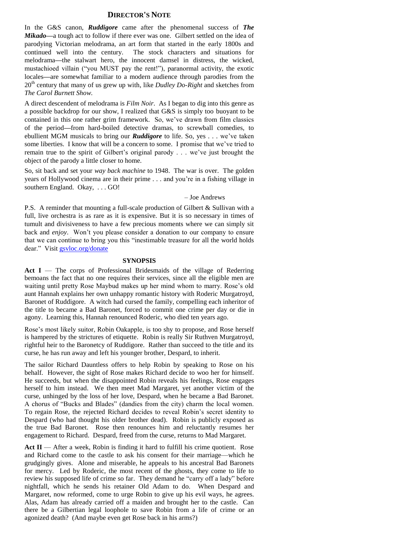### **DIRECTOR'S NOTE**

In the G&S canon, *Ruddigore* came after the phenomenal success of *The Mikado—*a tough act to follow if there ever was one. Gilbert settled on the idea of parodying Victorian melodrama, an art form that started in the early 1800s and continued well into the century. The stock characters and situations for melodrama*—*the stalwart hero, the innocent damsel in distress, the wicked, mustachioed villain ("you MUST pay the rent!"), paranormal activity, the exotic locales*—*are somewhat familiar to a modern audience through parodies from the 20<sup>th</sup> century that many of us grew up with, like *Dudley Do-Right* and sketches from *The Carol Burnett Show.*

A direct descendent of melodrama is *Film Noir*. As I began to dig into this genre as a possible backdrop for our show, I realized that G&S is simply too buoyant to be contained in this one rather grim framework. So, we've drawn from film classics of the period*—*from hard-boiled detective dramas, to screwball comedies, to ebullient MGM musicals to bring our *Ruddigore* to life. So, yes . . . we've taken some liberties. I know that will be a concern to some. I promise that we've tried to remain true to the spirit of Gilbert's original parody . . . we've just brought the object of the parody a little closer to home.

So, sit back and set your *way back machine* to 1948. The war is over. The golden years of Hollywood cinema are in their prime . . . and you're in a fishing village in southern England. Okay, . . . GO!

#### – Joe Andrews

P.S. A reminder that mounting a full-scale production of Gilbert & Sullivan with a full, live orchestra is as rare as it is expensive. But it is so necessary in times of tumult and divisiveness to have a few precious moments where we can simply sit back and *enjoy*. Won't you please consider a donation to our company to ensure that we can continue to bring you this "inestimable treasure for all the world holds dear." Visit [gsvloc.org/donate](http://gsvloc.org/donate)

#### **SYNOPSIS**

**Act I** — The corps of Professional Bridesmaids of the village of Rederring bemoans the fact that no one requires their services, since all the eligible men are waiting until pretty Rose Maybud makes up her mind whom to marry. Rose's old aunt Hannah explains her own unhappy romantic history with Roderic Murgatroyd, Baronet of Ruddigore. A witch had cursed the family, compelling each inheritor of the title to became a Bad Baronet, forced to commit one crime per day or die in agony. Learning this, Hannah renounced Roderic, who died ten years ago.

Rose's most likely suitor, Robin Oakapple, is too shy to propose, and Rose herself is hampered by the strictures of etiquette. Robin is really Sir Ruthven Murgatroyd, rightful heir to the Baronetcy of Ruddigore. Rather than succeed to the title and its curse, he has run away and left his younger brother, Despard, to inherit.

The sailor Richard Dauntless offers to help Robin by speaking to Rose on his behalf. However, the sight of Rose makes Richard decide to woo her for himself. He succeeds, but when the disappointed Robin reveals his feelings, Rose engages herself to him instead. We then meet Mad Margaret, yet another victim of the curse, unhinged by the loss of her love, Despard, when he became a Bad Baronet. A chorus of "Bucks and Blades" (dandies from the city) charm the local women. To regain Rose, the rejected Richard decides to reveal Robin's secret identity to Despard (who had thought his older brother dead). Robin is publicly exposed as the true Bad Baronet. Rose then renounces him and reluctantly resumes her engagement to Richard. Despard, freed from the curse, returns to Mad Margaret.

Act  $II$  — After a week, Robin is finding it hard to fulfill his crime quotient. Rose and Richard come to the castle to ask his consent for their marriage—which he grudgingly gives. Alone and miserable, he appeals to his ancestral Bad Baronets for mercy. Led by Roderic, the most recent of the ghosts, they come to life to review his supposed life of crime so far. They demand he "carry off a lady" before nightfall, which he sends his retainer Old Adam to do. When Despard and Margaret, now reformed, come to urge Robin to give up his evil ways, he agrees. Alas, Adam has already carried off a maiden and brought her to the castle. Can there be a Gilbertian legal loophole to save Robin from a life of crime or an agonized death? (And maybe even get Rose back in his arms?)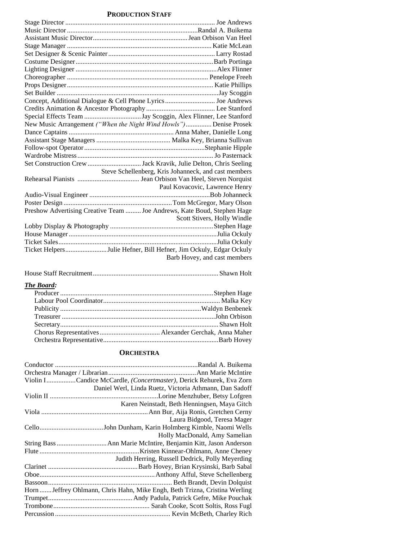### **PRODUCTION STAFF**

| Concept, Additional Dialogue & Cell Phone Lyrics Joe Andrews            |                                                      |
|-------------------------------------------------------------------------|------------------------------------------------------|
|                                                                         |                                                      |
|                                                                         |                                                      |
| New Music Arrangement ("When the Night Wind Howls") Denise Prosek       |                                                      |
|                                                                         |                                                      |
|                                                                         |                                                      |
|                                                                         |                                                      |
|                                                                         |                                                      |
|                                                                         |                                                      |
|                                                                         | Steve Schellenberg, Kris Johanneck, and cast members |
|                                                                         |                                                      |
|                                                                         | Paul Kovacovic, Lawrence Henry                       |
|                                                                         |                                                      |
|                                                                         |                                                      |
| Preshow Advertising Creative Team  Joe Andrews, Kate Boud, Stephen Hage |                                                      |
|                                                                         | Scott Stivers, Holly Windle                          |
|                                                                         |                                                      |
|                                                                         |                                                      |
|                                                                         |                                                      |
| Ticket HelpersJulie Hefner, Bill Hefner, Jim Ockuly, Edgar Ockuly       |                                                      |
|                                                                         | Barb Hovey, and cast members                         |

|--|--|--|--|

### *The Board:*

### **ORCHESTRA**

| Violin ICandice McCardle, (Concertmaster), Derick Rehurek, Eva Zorn         |
|-----------------------------------------------------------------------------|
| Daniel Werl, Linda Ruetz, Victoria Athmann, Dan Sadoff                      |
|                                                                             |
| Karen Neinstadt, Beth Henningsen, Maya Gitch                                |
|                                                                             |
| Laura Bidgood, Teresa Mager                                                 |
|                                                                             |
| Holly MacDonald, Amy Samelian                                               |
|                                                                             |
|                                                                             |
| Judith Herring, Russell Dedrick, Polly Meyerding                            |
|                                                                             |
|                                                                             |
|                                                                             |
| Horn  Jeffrey Ohlmann, Chris Hahn, Mike Engh, Beth Trizna, Cristina Werling |
|                                                                             |
|                                                                             |
|                                                                             |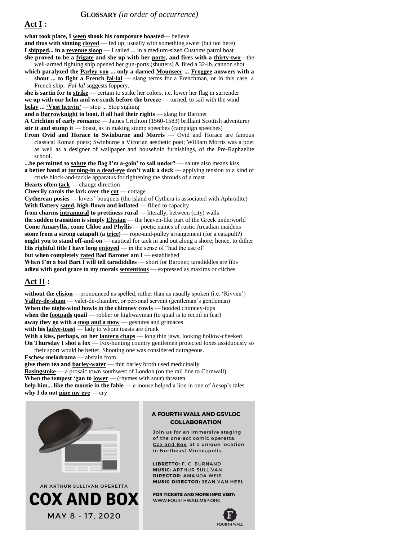**what took place, I ween shook his composure boasted**— believe and thus with sinning **cloyed** — fed up; usually with something sweet (but not here) **I shipped... in a revenue sloop** — I sailed ... in a medium-sized Customs patrol boat **she proved to be a frigate and she up with her ports, and fires with a thirty-two**—the well-armed fighting ship opened her gun-ports (shutters) & fired a 32-lb. cannon shot **which paralyzed the Parley-voo ... only a darned Mounseer ... Froggee answers with a shout ... to fight a French <u>fal-lal</u>** — slang terms for a Frenchman, or in this case, a French ship. *Fal-lal* suggests foppery. **she is sartin for to strike** — certain to strike her colors, i.e. lower her flag in surrender **we up with our helm and we scuds before the breeze** — turned, to sail with the wind **belay ... 'Vast heavin'** — stop ... Stop sighing **and a Barrowknight to boot, if all had their rights** — slang for Baronet **A Crichton of early romance** — James Crichton (1560-1583) brilliant Scottish adventurer **stir it and stump it** — boast, as in making stump speeches (campaign speeches) **From Ovid and Horace to Swinburne and Morris** — Ovid and Horace are famous classical Roman poets; Swinburne a Vicorian aesthetic poet; William Morris was a poet as well as a designer of wallpaper and household furnishings, of the Pre-Raphaelite school. **...be permitted to salute the flag I'm a-goin' to sail under?** — salute also means kiss **a better hand at turning-in a dead-eye don't walk a deck** — applying tension to a kind of crude block-and-tackle apparatus for tightening the shrouds of a mast **Hearts often tack** — change direction **Cheerily carols the lark over the cot** — cottage **Cytherean posies** — lovers' bouquets (the island of Cythera is associated with Aphrodite) **With flattery sated, high-flown and inflated** — filled to capacity **from charms intramural to prettiness rural** — literally, between (city) walls **the sudden transition is simply Elysian** — the heaven-like part of the Greek underworld **Come Amaryllis, come Chloe and Phyllis** — poetic names of rustic Arcadian maidens **stone from a strong catapult (a trice)** — rope-and-pulley arrangement (for a catapult?)

**ought you to stand off-and-on** — nautical for tack in and out along a shore; hence, to dither **His rightful title I have long enjoyed** — in the sense of "had the use of" **but when completely rated Bad Baronet am I** — established

**When I'm a bad Bart I will tell taradiddles** — short for Baronet; taradiddles are fibs **adieu with good grace to my morals sententious** — expressed as maxims or cliches

### **Act II :**

**without the elision** —pronounced as spelled, rather than as usually spoken (i.e. 'Rivven') **Valley-de-sham** — valet-de-chambre, or personal servant (gentleman's gentleman) **When the night-wind howls in the chimney cowls** — hooded chimney-tops **when the footpads quail** — robber or highwayman (to quail is to recoil in fear) **away they go with a mop and a mow** — gestures and grimaces **with his ladye-toast** — lady to whom toasts are drunk **With a kiss, perhaps, on her lantern chaps** — long thin jaws, looking hollow-cheeked **On Thursday I shot a fox** — Fox-hunting country gentlemen protected foxes assiduously so their sport would be better. Shooting one was considered outrageous.

**Eschew melodrama** — abstain from

**give them tea and barley-water** — thin barley broth used medicinally **Basingstoke** — a prosaic town southwest of London (on the rail line to Cornwall) When the tempest 'gan to **lower** — (rhymes with sour) threaten **help him... like the mousie in the fable** — a mouse helped a lion in one of Aesop's tales **why I do not pipe my eye** — cry





### A FOURTH WALL AND GSVLOC **COLLABORATION**

Join us for an immersive staging of the one-act comic operetta. Cox and Box, at a unique location in Northeast Minneapolis.

LIBRETTO: F. C. BURNAND **MUSIC: ARTHUR SULLIVAN DIRECTOR: AMANDA WEIS MUSIC DIRECTOR: JEAN VAN HEEL** 

**FOR TICKETS AND MORE INFO VISIT-**WWW.FOURTHWALLMSP.ORG

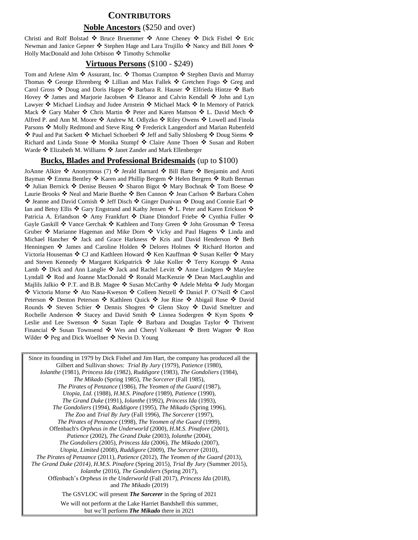### **CONTRIBUTORS**

#### **Noble Ancestors** (\$250 and over)

Christi and Rolf Bolstad  $\bullet$  Bruce Bruemmer  $\bullet$  Anne Cheney  $\bullet$  Dick Fishel  $\bullet$  Eric Newman and Janice Gepner  $\cdot \bullet$  Stephen Hage and Lara Trujillo  $\cdot \bullet$  Nancy and Bill Jones  $\cdot \bullet$ Holly MacDonald and John Orbison ❖ Timothy Schmolke

### **Virtuous Persons** (\$100 - \$249)

Tom and Arlene Alm ❖ Assurant, Inc. ❖ Thomas Crampton ❖ Stephen Davis and Murray Thomas ❖ George Ehrenberg ❖ Lillian and Max Fallek ❖ Gretchen Fogo ❖ Greg and Carol Gross ❖ Doug and Doris Happe ❖ Barbara R. Hauser ❖ Elfrieda Hintze ❖ Barb Hovey ❖ James and Marjorie Jacobsen ❖ Eleanor and Calvin Kendall ❖ John and Lyn Lawyer ❖ Michael Lindsay and Judee Arnstein ❖ Michael Mack ❖ In Memory of Patrick Mack ❖ Gary Maher ❖ Chris Martin ❖ Peter and Karen Mattson ❖ L. David Mech ❖ Alfred P. and Ann M. Moore  $\clubsuit$  Andrew M. Odlyzko  $\clubsuit$  Riley Owens  $\clubsuit$  Lowell and Finola Parsons  $\clubsuit$  Molly Redmond and Steve Ring  $\clubsuit$  Frederick Langendorf and Marian Rubenfeld ◆ Paul and Pat Sackett ◆ Michael Schoeberl ◆ Jeff and Sally Shlosberg ◆ Doug Siems ◆ Richard and Linda Stone ❖ Monika Stumpf ❖ Claire Anne Thoen ❖ Susan and Robert Warde  $\triangleleft$  Elizabeth M. Williams  $\triangleleft$  Janet Zander and Mark Ellenberger

### **Bucks, Blades and Professional Bridesmaids** (up to \$100)

JoAnne Alkire  $\clubsuit$  Anonymous (7)  $\clubsuit$  Jerald Barnard  $\clubsuit$  Bill Barte  $\clubsuit$  Benjamin and Aroti Bayman  $\cdot$  Emma Bentley  $\cdot$  Karen and Phillip Bergem  $\cdot$  Helen Bergren  $\cdot$  Ruth Berman ◆ Julian Bernick ◆ Denise Beusen ◆ Sharon Bigot ◆ Mary Bochnak ◆ Tom Boese ◆ Laurie Brooks ❖ Neal and Marie Buethe ❖ Ben Cannon ❖ Jean Carlson ❖ Barbara Cohen  $\bullet$  Jeanne and David Cornish  $\bullet$  Jeff Disch  $\bullet$  Ginger Dunivan  $\bullet$  Doug and Connie Earl  $\bullet$ Ian and Betsy Ellis ❖ Gary Engstrand and Kathy Jensen ❖ L. Peter and Karen Erickson ❖ Patricia A. Erlandson  $\cdot$  Amy Frankfurt  $\cdot$  Diane Dinndorf Friebe  $\cdot$  Cynthia Fuller  $\cdot$ Gayle Gaskill ❖ Vance Gerchak ❖ Kathleen and Tony Green ❖ John Grossman ❖ Teresa Gruber ❖ Marianne Hageman and Mike Dorn ❖ Vicky and Paul Hagens ❖ Linda and Michael Hancher  $\cdot \cdot$  Jack and Grace Harkness  $\cdot \cdot$  Kris and David Henderson  $\cdot \cdot$  Beth Henningsen ❖ James and Caroline Holden ❖ Delores Holmes ❖ Richard Horton and Victoria Houseman ❖ CJ and Kathleen Howard ❖ Ken Kauffman ❖ Susan Keller ❖ Mary and Steven Kennedy ◆ Margaret Kirkpatrick ◆ Jake Koller ◆ Terry Korupp ◆ Anna Lamb ❖ Dick and Ann Langlie ❖ Jack and Rachel Levitt ❖ Anne Lindgren ❖ Marylee Lyndall ❖ Rod and Joanne MacDonald ❖ Ronald MacKenzie ❖ Dean MacLaughlin and Majlils Jalkio  $\clubsuit$  P.T. and B.B. Magee  $\clubsuit$  Susan McCarthy  $\clubsuit$  Adele Mehta  $\clubsuit$  Judy Morgan ◆ Victoria Morse ◆ Ato Nana-Kweson ◆ Colleen Netzell ◆ Daniel P. O'Neill ◆ Carol Peterson ❖ Denton Peterson ❖ Kathleen Quick ❖ Joe Rine ❖ Abigail Rose ❖ David Rounds  $\cdot$  Steven Schier  $\cdot$  Dennis Shogren  $\cdot$  Glenn Skoy  $\cdot$  David Smeltzer and Rochelle Anderson  $\cdot$  Stacey and David Smith  $\cdot$  Linnea Sodergren  $\cdot$  Kym Spotts  $\cdot$ Leslie and Lee Swenson ❖ Susan Taple ❖ Barbara and Douglas Taylor ❖ Thrivent Financial  $\cdot$  Susan Townsend  $\cdot$  Wes and Cheryl Volkenant  $\cdot$  Brett Wagner  $\cdot$  Ron Wilder ❖ Peg and Dick Woellner ❖ Nevin D. Young

Since its founding in 1979 by Dick Fishel and Jim Hart, the company has produced all the Gilbert and Sullivan shows: *Trial By Jury* (1979), *Patience* (1980), *Iolanthe* (1981), *Princess Ida* (1982), *Ruddigore* (1983), *The Gondoliers* (1984), *The Mikado* (Spring 1985), *The Sorcerer* (Fall 1985), *The Pirates of Penzance* (1986), *The Yeomen of the Guard* (1987), *Utopia, Ltd.* (1988), *H.M.S. Pinafore* (1989), *Patience* (1990), *The Grand Duke* (1991), *Iolanthe* (1992), *Princess Ida* (1993), *The Gondoliers* (1994), *Ruddigore* (1995), *The Mikado* (Spring 1996), *The Zoo* and *Trial By Jury* (Fall 1996), *The Sorcerer* (1997), *The Pirates of Penzance* (1998), *The Yeomen of the Guard* (1999), Offenbach's *Orpheus in the Underworld* (2000), *H.M.S. Pinafore* (2001), *Patience* (2002), *The Grand Duke* (2003), *Iolanthe* (2004), *The Gondoliers* (2005), *Princess Ida* (2006), *The Mikado* (2007), *Utopia, Limited* (2008), *Ruddigore* (2009), *The Sorcerer* (2010), *The Pirates of Penzance* (2011), *Patience* (2012), *The Yeomen of the Guard* (2013), *The Grand Duke (2014), H.M.S. Pinafore* (Spring 2015), *Trial By Jury* (Summer 2015), *Iolanthe* (2016), *The Gondoliers* (Spring 2017), Offenbach's *Orpheus in the Underworld* (Fall 2017), *Princess Ida* (2018), and *The Mikado* (2019) The GSVLOC will present *The Sorcerer* in the Spring of 2021 We will not perform at the Lake Harriet Bandshell this summer, but we'll perform *The Mikado* there in 2021